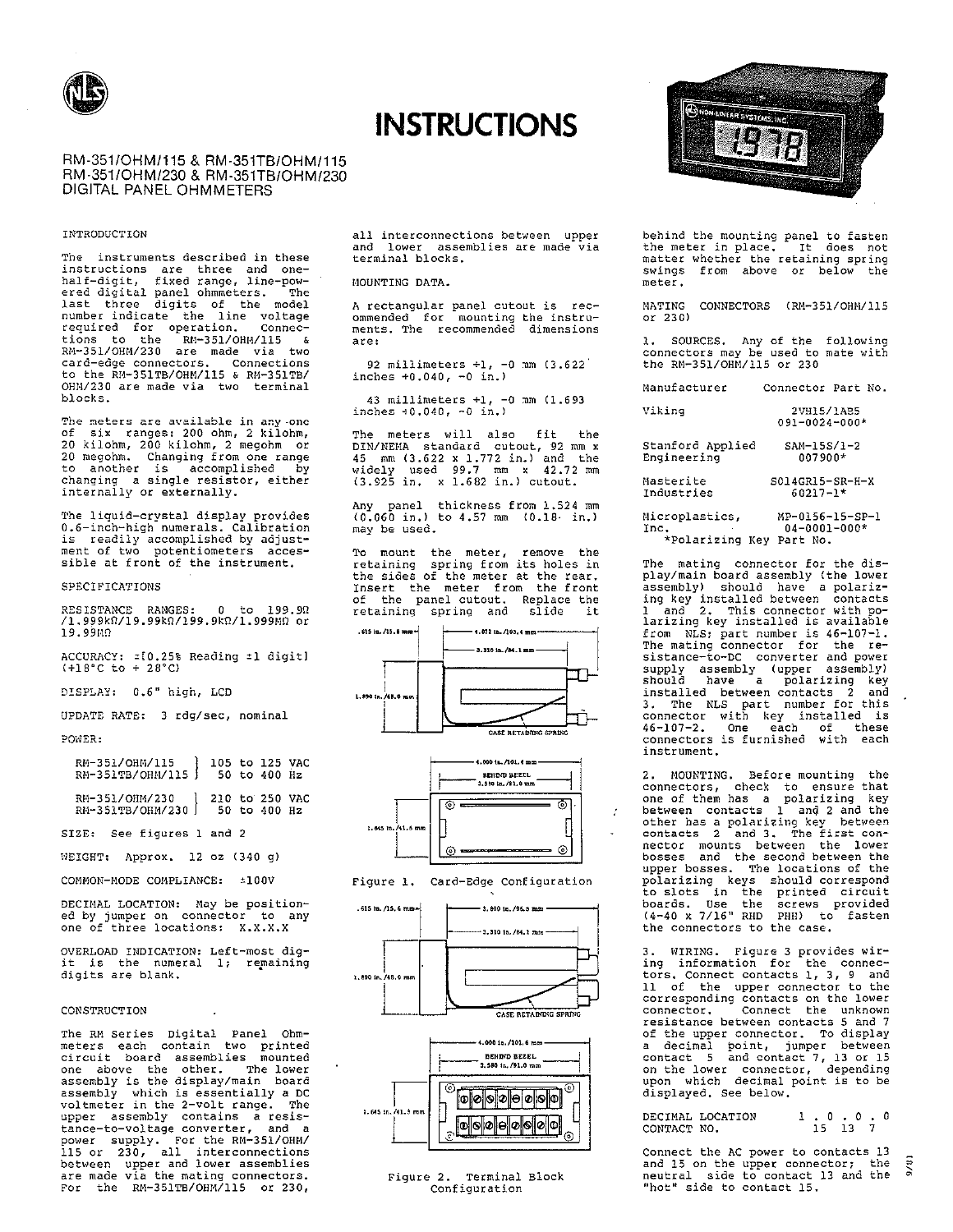

# **INSTRUCTIONS**

RM-351/OHM/115 & RM-351TB/OHM/115 RM-351/OHM/230 & RM-351TB/OHM/230 DIGITAL PANEL OHMMETERS

#### INTRODUCTION

The instruments described in these The instruments described in these<br>instructions are three and one-<br>half-digit, fixed range, line-pow-<br>ered digital panel ohmeneters. The<br>last three digits of the model<br>number indicate the line voltage<br>required for operati OHM/230 are made via two terminal blocks.

The meters are available in any one<br>of six ranges: 200 ohm, 2 kilohm,<br>20 kilohm, 200 kilohm, 2 megohm or<br>20 megohm. Changing from one range<br>to another is accomplished by<br>changing a single resistor, either internally or externally.

The liquid-crystal display provides<br>0.6-inch-high numerals. Calibration<br>is readily accomplished by adjust-<br>ment of two potentiometers accessible at front of the instrument.

#### SPECIFICATIONS

RESISTANCE RANGES: 0 to 199.90<br>/1.999k0/19.99k0/199.9k0/1.999M0 or 19.99MM

ACCURACY: = [0.25% Reading = 1 digit]  $(+18^{\circ}C$  to  $+ 28^{\circ}C)$ 

DISPLAY: 0.6" high, LCD

UPDATE RATE: 3 rdg/sec, nominal

### POWER:

| RM-351/OHM/115   105 to 125 VAC<br>RM-351TB/OHM/115   50 to 400 Hz |                |              |  |
|--------------------------------------------------------------------|----------------|--------------|--|
| RM-351/OHM/230<br>RM-351TB/OHM/230                                 | 210 to 250 VAC | 50 to 400 Hz |  |

SIZE: See figures 1 and 2

WEIGHT: Approx. 12 oz (340 g)

COMMON-MODE COMPLIANCE: ±100V

DECIMAL LOCATION: May be position-<br>ed by jumper on connector to any<br>one of three locations: X.X.X.X

OVERLOAD INDICATION: Left-most digit is the numeral 1; remaining<br>digits are blank.

#### **CONSTRUCTION**

The RM Series Digital Panel Ohm-The RM Series Digital Panel Ohm-<br>meters each contain two printed<br>circuit board assemblies mounted<br>one above the other. The lower<br>assembly is the display/main board<br>assembly which is essentially a DC<br>voltmeter in the 2-volt upper assembly contains a resistance-to-voltage converter, and a power supply. For the RM-351/OHM/<br>115 or 230, all interconnections<br>between upper and lower assemblies are made via the mating connectors.<br>For the RM-351TB/OHM/115 or 230,

all interconnections between upper and lower assemblies are made via<br>terminal blocks.

#### MOUNTING DATA.

A rectangular panel cutout is rec-<br>ommended for mounting the instru-<br>ments. The recommended dimensions are:

92 millimeters  $+1$ , -0 mm  $(3.622)$ inches  $+0.040$ ,  $-0$  in.)

43 millimeters  $+1$ ,  $-0$  mm  $(1.693$ <br>inches  $+0.040$ ,  $-0$  in.)

The meters will also fit the<br>DIN/NEMA standard cutout, 92 mm x butwhere standard during the state of  $45$  mm  $(3.622 \times 1.772 \text{ in.})$  and the widely used  $99.7$  mm  $\times$   $42.72$  mm  $(3.925 \text{ in.} \times 1.682 \text{ in.})$  cutout.

Any panel thickness from 1.524 mm<br>(0.060 in.) to 4.57 mm (0.18 in.) may be used.

To mount the meter, remove the<br>retaining spring from its holes in<br>the sides of the meter at the rear. Insert the meter from the front<br>of the panel cutout. Replace the<br>retaining spring and slide it











## Figure 2. Terminal Block<br>Configuration



behind the mounting panel to fasten the meter in place. It does not<br>matter whether the retaining spring swings from above or below the meter.

MATING CONNECTORS (RM-351/OHM/115 or  $230$ 

1. SOURCES. Any of the following<br>connectors may be used to mate with<br>the RM-351/OHM/115 or 230

Manufacturer Connector Part No.

| Viking | 2VH15/1AB5    |
|--------|---------------|
|        | 091-0024-000* |

Stanford Applied  $SAM-15S/1-2$ Engineering 007900\*

Masterite S014GR15-SR-H-X  $60217 - 1*$ Industries

Microplastics, MP-0156-15-SP-1 Inc.<br>\*Polarizing Key Part No.  $04 - 0001 - 000*$ 

The mating connector for the display/main board assembly (the lower<br>assembly) should have a polarizing key installed between contacts<br>1 and 2. This connector with po-<br>larizing key installed is available from NLS; part number is 46-107-1.<br>The mating connector for the resistance-to-DC converter and power sistance-to-DC converter and power<br>supply assembly (upper assembly)<br>should have a polarizing key<br>installed between contacts 2 and<br>3. The NLS part number for this<br>connector with key installed is<br>46-107-2. One each of these<br> instrument.

2. MOUNTING. Before mounting the 2. montring the to ensure that<br>one of them has a polarizing key<br>between contacts 1 and 2 and the<br>other has a polarizing key between<br>contacts 2 and 3. The first connector mounts between the lower<br>bosses and the second between the upper bosses. The locations of the polarizing keys should correspond<br>to slots in the printed circuit<br>boards. Use the screws provided<br>(4-40 x 7/16" RHD PHR) to fasten the connectors to the case.

WIRING. Figure 3 provides wiring information for the connectors. Connect contacts 1, 3, 9 and<br>11 of the upper connector to the corresponding contacts on the lower<br>connector. Connect the unknown resistance between contacts 5 and 7 of the upper connector. To display of the upper connection. The between<br>a decimal point, jumper between<br>contact 5 and contact 7, 13 or 15<br>on the lower connector, depending<br>upon which decimal point is to be displayed. See below.

 $\begin{array}{cccccc} 1 & . & 0 & . & 0 & . & 0 \\ & 15 & 13 & 7 & & & \end{array}$ DECIMAL LOCATION CONTACT NO.

Connect the AC power to contacts 13  $9/81$ and 15 on the upper connector; the<br>neutral side to contact 13 and the "hot" side to contact 15.